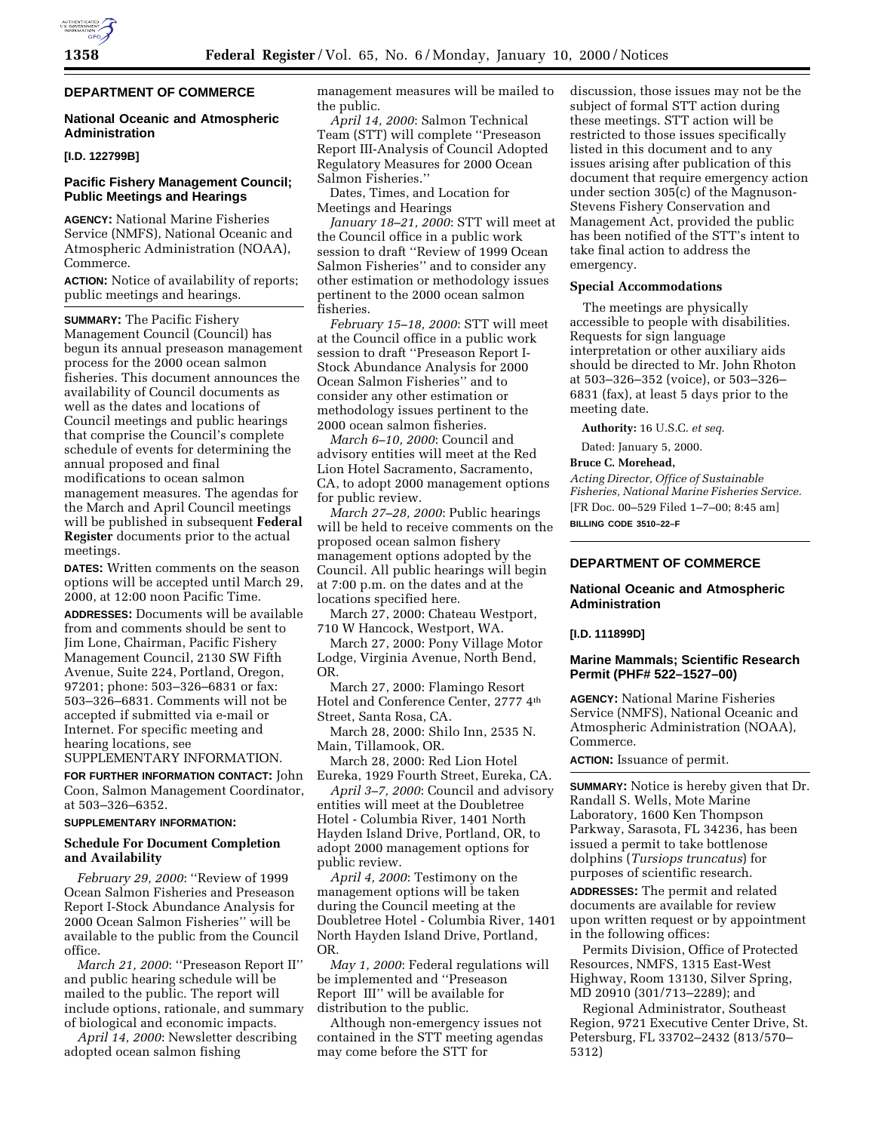# **DEPARTMENT OF COMMERCE**

### **National Oceanic and Atmospheric Administration**

### **[I.D. 122799B]**

## **Pacific Fishery Management Council; Public Meetings and Hearings**

**AGENCY:** National Marine Fisheries Service (NMFS), National Oceanic and Atmospheric Administration (NOAA), Commerce.

**ACTION:** Notice of availability of reports; public meetings and hearings.

**SUMMARY:** The Pacific Fishery Management Council (Council) has begun its annual preseason management process for the 2000 ocean salmon fisheries. This document announces the availability of Council documents as well as the dates and locations of Council meetings and public hearings that comprise the Council's complete schedule of events for determining the annual proposed and final modifications to ocean salmon management measures. The agendas for the March and April Council meetings will be published in subsequent **Federal Register** documents prior to the actual meetings.

**DATES:** Written comments on the season options will be accepted until March 29, 2000, at 12:00 noon Pacific Time.

**ADDRESSES:** Documents will be available from and comments should be sent to Jim Lone, Chairman, Pacific Fishery Management Council, 2130 SW Fifth Avenue, Suite 224, Portland, Oregon, 97201; phone: 503–326–6831 or fax: 503–326–6831. Comments will not be accepted if submitted via e-mail or Internet. For specific meeting and hearing locations, see

SUPPLEMENTARY INFORMATION.

**FOR FURTHER INFORMATION CONTACT:** John Coon, Salmon Management Coordinator, at 503–326–6352.

#### **SUPPLEMENTARY INFORMATION:**

#### **Schedule For Document Completion and Availability**

*February 29, 2000*: ''Review of 1999 Ocean Salmon Fisheries and Preseason Report I-Stock Abundance Analysis for 2000 Ocean Salmon Fisheries'' will be available to the public from the Council office.

*March 21, 2000*: ''Preseason Report II'' and public hearing schedule will be mailed to the public. The report will include options, rationale, and summary of biological and economic impacts.

*April 14, 2000*: Newsletter describing adopted ocean salmon fishing

management measures will be mailed to the public.

*April 14, 2000*: Salmon Technical Team (STT) will complete ''Preseason Report III-Analysis of Council Adopted Regulatory Measures for 2000 Ocean Salmon Fisheries.''

Dates, Times, and Location for Meetings and Hearings

*January 18–21, 2000*: STT will meet at the Council office in a public work session to draft ''Review of 1999 Ocean Salmon Fisheries'' and to consider any other estimation or methodology issues pertinent to the 2000 ocean salmon fisheries.

*February 15–18, 2000*: STT will meet at the Council office in a public work session to draft ''Preseason Report I-Stock Abundance Analysis for 2000 Ocean Salmon Fisheries'' and to consider any other estimation or methodology issues pertinent to the 2000 ocean salmon fisheries.

*March 6–10, 2000*: Council and advisory entities will meet at the Red Lion Hotel Sacramento, Sacramento, CA, to adopt 2000 management options for public review.

*March 27–28, 2000*: Public hearings will be held to receive comments on the proposed ocean salmon fishery management options adopted by the Council. All public hearings will begin at 7:00 p.m. on the dates and at the locations specified here.

March 27, 2000: Chateau Westport, 710 W Hancock, Westport, WA.

March 27, 2000: Pony Village Motor Lodge, Virginia Avenue, North Bend, OR.

March 27, 2000: Flamingo Resort Hotel and Conference Center, 2777 4th Street, Santa Rosa, CA.

March 28, 2000: Shilo Inn, 2535 N. Main, Tillamook, OR.

March 28, 2000: Red Lion Hotel Eureka, 1929 Fourth Street, Eureka, CA.

*April 3–7, 2000*: Council and advisory entities will meet at the Doubletree Hotel - Columbia River, 1401 North Hayden Island Drive, Portland, OR, to adopt 2000 management options for public review.

*April 4, 2000*: Testimony on the management options will be taken during the Council meeting at the Doubletree Hotel - Columbia River, 1401 North Hayden Island Drive, Portland, OR.

*May 1, 2000*: Federal regulations will be implemented and ''Preseason Report III'' will be available for distribution to the public.

Although non-emergency issues not contained in the STT meeting agendas may come before the STT for

discussion, those issues may not be the subject of formal STT action during these meetings. STT action will be restricted to those issues specifically listed in this document and to any issues arising after publication of this document that require emergency action under section 305(c) of the Magnuson-Stevens Fishery Conservation and Management Act, provided the public has been notified of the STT's intent to take final action to address the emergency.

#### **Special Accommodations**

The meetings are physically accessible to people with disabilities. Requests for sign language interpretation or other auxiliary aids should be directed to Mr. John Rhoton at 503–326–352 (voice), or 503–326– 6831 (fax), at least 5 days prior to the meeting date.

**Authority:** 16 U.S.C. *et seq*.

Dated: January 5, 2000.

# **Bruce C. Morehead,**

*Acting Director, Office of Sustainable Fisheries, National Marine Fisheries Service.* [FR Doc. 00–529 Filed 1–7–00; 8:45 am] **BILLING CODE 3510–22–F**

# **DEPARTMENT OF COMMERCE**

#### **National Oceanic and Atmospheric Administration**

**[I.D. 111899D]**

## **Marine Mammals; Scientific Research Permit (PHF# 522–1527–00)**

**AGENCY:** National Marine Fisheries Service (NMFS), National Oceanic and Atmospheric Administration (NOAA), Commerce.

**ACTION:** Issuance of permit.

**SUMMARY:** Notice is hereby given that Dr. Randall S. Wells, Mote Marine Laboratory, 1600 Ken Thompson Parkway, Sarasota, FL 34236, has been issued a permit to take bottlenose dolphins (*Tursiops truncatus*) for purposes of scientific research.

**ADDRESSES:** The permit and related documents are available for review upon written request or by appointment in the following offices:

Permits Division, Office of Protected Resources, NMFS, 1315 East-West Highway, Room 13130, Silver Spring, MD 20910 (301/713–2289); and

Regional Administrator, Southeast Region, 9721 Executive Center Drive, St. Petersburg, FL 33702–2432 (813/570– 5312)